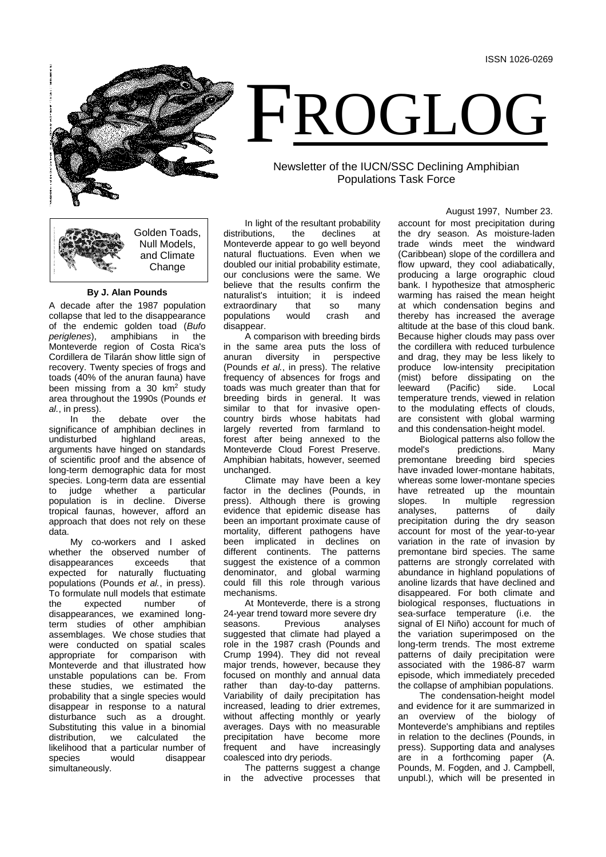

# FROGLOG

## Newsletter of the IUCN/SSC Declining Amphibian Populations Task Force

Golden Toads, Null Models, and Climate **Change** 

### **By J. Alan Pounds**

A decade after the 1987 population collapse that led to the disappearance of the endemic golden toad (*Bufo*  amphibians in Monteverde region of Costa Rica's Cordillera de Tilarán show little sign of recovery. Twenty species of frogs and toads (40% of the anuran fauna) have been missing from a 30  $km<sup>2</sup>$  study area throughout the 1990s (Pounds *et al.*, in press).

In the debate over the significance of amphibian declines in<br>undisturbed bighland areas, undisturbed highland areas. arguments have hinged on standards of scientific proof and the absence of long-term demographic data for most species. Long-term data are essential<br>to judge whether a particular whether a particular population is in decline. Diverse tropical faunas, however, afford an approach that does not rely on these data.

My co-workers and I asked whether the observed number of<br>disappearances exceeds that disappearances expected for naturally fluctuating populations (Pounds *et al.*, in press). To formulate null models that estimate the expected number of disappearances, we examined longterm studies of other amphibian assemblages. We chose studies that were conducted on spatial scales appropriate for comparison with Monteverde and that illustrated how unstable populations can be. From these studies, we estimated the probability that a single species would disappear in response to a natural disturbance such as a drought. Substituting this value in a binomial<br>distribution, we calculated the distribution, likelihood that a particular number of<br>species would disappear would disappear simultaneously.

In light of the resultant probability<br>butions, the declines at distributions, the declines at Monteverde appear to go well beyond natural fluctuations. Even when we doubled our initial probability estimate, our conclusions were the same. We believe that the results confirm the naturalist's intuition; it is indeed<br>extraordinary that so many extraordinary that so<br>populations would crash populations would crash and disappear.

A comparison with breeding birds in the same area puts the loss of<br>anuran diversity in perspective diversity in perspective (Pounds *et al.*, in press). The relative frequency of absences for frogs and toads was much greater than that for breeding birds in general. It was similar to that for invasive opencountry birds whose habitats had largely reverted from farmland to forest after being annexed to the Monteverde Cloud Forest Preserve. Amphibian habitats, however, seemed unchanged.

Climate may have been a key factor in the declines (Pounds, in press). Although there is growing evidence that epidemic disease has been an important proximate cause of mortality, different pathogens have been implicated in declines on different continents. The patterns suggest the existence of a common denominator, and global warming could fill this role through various mechanisms.

At Monteverde, there is a strong 24-year trend toward more severe dry<br>seasons. Previous analyses analyses suggested that climate had played a role in the 1987 crash (Pounds and Crump 1994). They did not reveal major trends, however, because they focused on monthly and annual data rather than day-to-day patterns. Variability of daily precipitation has increased, leading to drier extremes, without affecting monthly or yearly averages. Days with no measurable precipitation have become more frequent and have increasingly coalesced into dry periods.

The patterns suggest a change in the advective processes that August 1997, Number 23.

account for most precipitation during the dry season. As moisture-laden trade winds meet the windward (Caribbean) slope of the cordillera and flow upward, they cool adiabatically, producing a large orographic cloud bank. I hypothesize that atmospheric warming has raised the mean height at which condensation begins and thereby has increased the average altitude at the base of this cloud bank. Because higher clouds may pass over the cordillera with reduced turbulence and drag, they may be less likely to produce low-intensity precipitation (mist) before dissipating on the<br>leeward (Pacific) side. Local leeward (Pacific) side. Local temperature trends, viewed in relation to the modulating effects of clouds, are consistent with global warming and this condensation-height model.

Biological patterns also follow the<br>model's predictions Many predictions. Many premontane breeding bird species have invaded lower-montane habitats, whereas some lower-montane species have retreated up the mountain<br>slopes. In multiple regression slopes. In multiple regression<br>analyses, patterns of daily patterns precipitation during the dry season account for most of the year-to-year variation in the rate of invasion by premontane bird species. The same patterns are strongly correlated with abundance in highland populations of anoline lizards that have declined and disappeared. For both climate and biological responses, fluctuations in sea-surface temperature (i.e. the signal of El Niño) account for much of the variation superimposed on the long-term trends. The most extreme patterns of daily precipitation were associated with the 1986-87 warm episode, which immediately preceded the collapse of amphibian populations.

The condensation-height model and evidence for it are summarized in an overview of the biology of Monteverde's amphibians and reptiles in relation to the declines (Pounds, in press). Supporting data and analyses are in a forthcoming paper (A. Pounds, M. Fogden, and J. Campbell, unpubl.), which will be presented in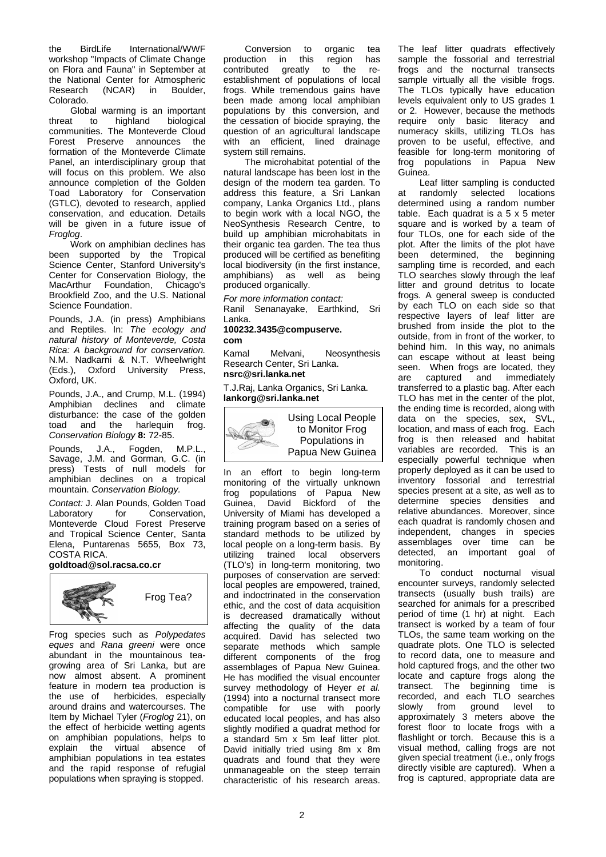the BirdLife International/WWF workshop "Impacts of Climate Change on Flora and Fauna" in September at the National Center for Atmospheric<br>Research (NCAR) in Boulder (NCAR) in Boulder, Colorado.

Global warming is an important<br>threat to highland biological threat to highland biological communities. The Monteverde Cloud Forest Preserve announces the formation of the Monteverde Climate Panel, an interdisciplinary group that will focus on this problem. We also announce completion of the Golden Toad Laboratory for Conservation (GTLC), devoted to research, applied conservation, and education. Details will be given in a future issue of *Froglog*.

Work on amphibian declines has been supported by the Tropical Science Center, Stanford University's Center for Conservation Biology, the MacArthur Foundation, Chicago's Brookfield Zoo, and the U.S. National Science Foundation.

Pounds, J.A. (in press) Amphibians and Reptiles. In: *The ecology and natural history of Monteverde, Costa Rica: A background for conservation.*  N.M. Nadkarni & N.T. Wheelwright (Eds.), Oxford University Press, Oxford, UK.

Pounds, J.A., and Crump, M.L. (1994) Amphibian declines and climate disturbance: the case of the golden<br>toad and the harlequin frog. toad and the *Conservation Biology* **8:** 72-85.

Pounds, J.A., Fogden, M.P.L., Savage, J.M. and Gorman, G.C. (in press) Tests of null models for amphibian declines on a tropical mountain. *Conservation Biology.*

**Contact: J. Alan Pounds, Golden Toad Laboratory for Conservation.** Conservation. Monteverde Cloud Forest Preserve and Tropical Science Center, Santa Elena, Puntarenas 5655, Box 73, COSTA RICA.

#### **goldtoad@sol.racsa.co.cr**



Frog species such as *Polypedates eques* and *Rana greeni* were once abundant in the mountainous teagrowing area of Sri Lanka, but are now almost absent. A prominent feature in modern tea production is the use of herbicides, especially around drains and watercourses. The Item by Michael Tyler (*Froglog* 21), on the effect of herbicide wetting agents on amphibian populations, helps to<br>explain the virtual absence of virtual absence of amphibian populations in tea estates and the rapid response of refugial populations when spraying is stopped.

Conversion to organic tea<br>uction in this region has production in this region has<br>contributed greatly to the re- $\overline{\text{to}}$  the establishment of populations of local frogs. While tremendous gains have been made among local amphibian populations by this conversion, and the cessation of biocide spraying, the question of an agricultural landscape with an efficient, lined drainage system still remains.

The microhabitat potential of the natural landscape has been lost in the design of the modern tea garden. To address this feature, a Sri Lankan company, Lanka Organics Ltd., plans to begin work with a local NGO, the NeoSynthesis Research Centre, to build up amphibian microhabitats in their organic tea garden. The tea thus produced will be certified as benefiting local biodiversity (in the first instance, amphibians) as well as being produced organically.

*For more information contact:* Ranil Senanayake, Earthkind, Sri Lanka.

# **100232.3435@compuserve.**

**com**

Kamal Melvani, Neosynthesis Research Center, Sri Lanka. **nsrc@sri.lanka.net**

T.J.Raj, Lanka Organics, Sri Lanka. **lankorg@sri.lanka.net**



In an effort to begin long-term monitoring of the virtually unknown frog populations of Papua New Guinea, David Bickford of the University of Miami has developed a training program based on a series of standard methods to be utilized by local people on a long-term basis. By utilizing trained local observers (TLO's) in long-term monitoring, two purposes of conservation are served: local peoples are empowered, trained, and indoctrinated in the conservation ethic, and the cost of data acquisition is decreased dramatically without affecting the quality of the data acquired. David has selected two separate methods which sample different components of the frog assemblages of Papua New Guinea. He has modified the visual encounter survey methodology of Heyer *et al.* (1994) into a nocturnal transect more compatible for use with poorly educated local peoples, and has also slightly modified a quadrat method for a standard 5m x 5m leaf litter plot. David initially tried using 8m x 8m quadrats and found that they were unmanageable on the steep terrain characteristic of his research areas.

The leaf litter quadrats effectively sample the fossorial and terrestrial frogs and the nocturnal transects sample virtually all the visible frogs. The TLOs typically have education levels equivalent only to US grades 1 or 2. However, because the methods require only basic literacy and numeracy skills, utilizing TLOs has proven to be useful, effective, and feasible for long-term monitoring of frog populations in Papua New Guinea.

Leaf litter sampling is conducted at randomly selected locations determined using a random number table. Each quadrat is a 5 x 5 meter square and is worked by a team of four TLOs, one for each side of the plot. After the limits of the plot have been determined, the beginning sampling time is recorded, and each TLO searches slowly through the leaf litter and ground detritus to locate frogs. A general sweep is conducted by each TLO on each side so that respective layers of leaf litter are brushed from inside the plot to the outside, from in front of the worker, to behind him. In this way, no animals can escape without at least being seen. When frogs are located, they<br>are captured and immediately captured and immediately transferred to a plastic bag. After each TLO has met in the center of the plot, the ending time is recorded, along with data on the species, sex, SVL, location, and mass of each frog. Each frog is then released and habitat variables are recorded. This is an especially powerful technique when properly deployed as it can be used to inventory fossorial and terrestrial species present at a site, as well as to determine species densities and relative abundances. Moreover, since each quadrat is randomly chosen and independent, changes in species assemblages over time can be detected, an important goal of monitoring.

To conduct nocturnal visual encounter surveys, randomly selected transects (usually bush trails) are searched for animals for a prescribed period of time (1 hr) at night. Each transect is worked by a team of four TLOs, the same team working on the quadrate plots. One TLO is selected to record data, one to measure and hold captured frogs, and the other two locate and capture frogs along the transect. The beginning time is recorded, and each TLO searches slowly from ground level to approximately 3 meters above the forest floor to locate frogs with a flashlight or torch. Because this is a visual method, calling frogs are not given special treatment (i.e., only frogs directly visible are captured). When a frog is captured, appropriate data are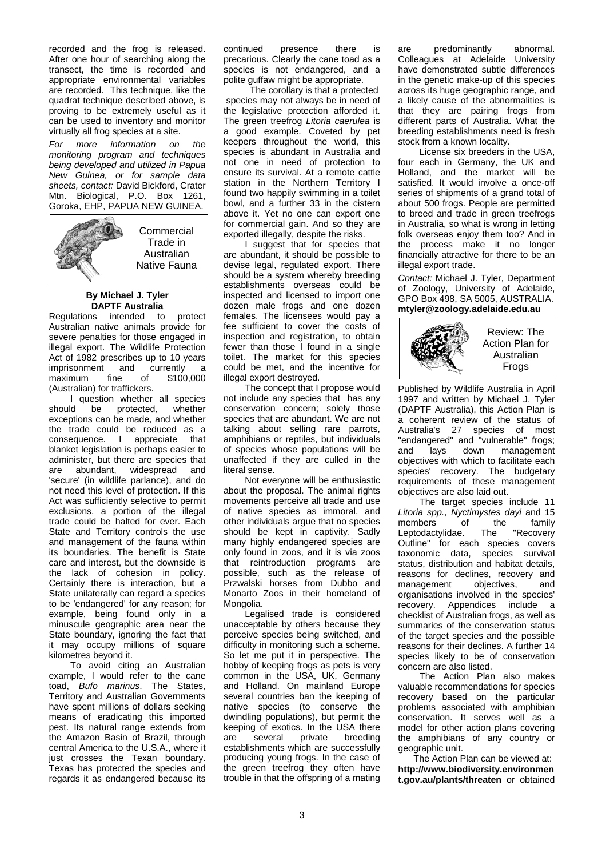recorded and the frog is released. After one hour of searching along the transect, the time is recorded and appropriate environmental variables are recorded. This technique, like the quadrat technique described above, is proving to be extremely useful as it can be used to inventory and monitor virtually all frog species at a site.

*For more information on the monitoring program and techniques being developed and utilized in Papua New Guinea, or for sample data sheets, contact:* David Bickford, Crater Mtn. Biological, P.O. Box 1261, Goroka, EHP, PAPUA NEW GUINEA.



#### **By Michael J. Tyler DAPTF Australia**

Regulations intended to protect Australian native animals provide for severe penalties for those engaged in illegal export. The Wildlife Protection Act of 1982 prescribes up to 10 years<br>imprisonment and currently a i and currently a<br>fine of \$100,000  $maximum$ (Australian) for traffickers.

I question whether all species<br>should be protected whether be protected, exceptions can be made, and whether the trade could be reduced as a consequence. I appreciate that blanket legislation is perhaps easier to administer, but there are species that<br>are abundant, widespread and are abundant, widespread 'secure' (in wildlife parlance), and do not need this level of protection. If this Act was sufficiently selective to permit exclusions, a portion of the illegal trade could be halted for ever. Each State and Territory controls the use and management of the fauna within its boundaries. The benefit is State care and interest, but the downside is the lack of cohesion in policy. Certainly there is interaction, but a State unilaterally can regard a species to be 'endangered' for any reason; for example, being found only in a minuscule geographic area near the State boundary, ignoring the fact that it may occupy millions of square kilometres beyond it.

To avoid citing an Australian example, I would refer to the cane toad, *Bufo marinus*. The States, Territory and Australian Governments have spent millions of dollars seeking means of eradicating this imported pest. Its natural range extends from the Amazon Basin of Brazil, through central America to the U.S.A., where it just crosses the Texan boundary. Texas has protected the species and regards it as endangered because its

continued presence there is precarious. Clearly the cane toad as a species is not endangered, and a polite guffaw might be appropriate.

 The corollary is that a protected species may not always be in need of the legislative protection afforded it. The green treefrog *Litoria caerulea* is a good example. Coveted by pet keepers throughout the world, this species is abundant in Australia and not one in need of protection to ensure its survival. At a remote cattle station in the Northern Territory I found two happily swimming in a toilet bowl, and a further 33 in the cistern above it. Yet no one can export one for commercial gain. And so they are exported illegally, despite the risks.

I suggest that for species that are abundant, it should be possible to devise legal, regulated export. There should be a system whereby breeding establishments overseas could be inspected and licensed to import one dozen male frogs and one dozen females. The licensees would pay a fee sufficient to cover the costs of inspection and registration, to obtain fewer than those I found in a single toilet. The market for this species could be met, and the incentive for illegal export destroyed.

The concept that I propose would not include any species that has any conservation concern; solely those species that are abundant. We are not talking about selling rare parrots, amphibians or reptiles, but individuals of species whose populations will be unaffected if they are culled in the literal sense.

Not everyone will be enthusiastic about the proposal. The animal rights movements perceive all trade and use of native species as immoral, and other individuals argue that no species should be kept in captivity. Sadly many highly endangered species are only found in zoos, and it is via zoos that reintroduction programs are possible, such as the release of Przwalski horses from Dubbo and Monarto Zoos in their homeland of Mongolia.

Legalised trade is considered unacceptable by others because they perceive species being switched, and difficulty in monitoring such a scheme. So let me put it in perspective. The hobby of keeping frogs as pets is very common in the USA, UK, Germany and Holland. On mainland Europe several countries ban the keeping of native species (to conserve the dwindling populations), but permit the keeping of exotics. In the USA there<br>are several private breeding breeding establishments which are successfully producing young frogs. In the case of the green treefrog they often have trouble in that the offspring of a mating are predominantly abnormal. Colleagues at Adelaide University have demonstrated subtle differences in the genetic make-up of this species across its huge geographic range, and a likely cause of the abnormalities is that they are pairing frogs from different parts of Australia. What the breeding establishments need is fresh stock from a known locality.

License six breeders in the USA, four each in Germany, the UK and Holland, and the market will be satisfied. It would involve a once-off series of shipments of a grand total of about 500 frogs. People are permitted to breed and trade in green treefrogs in Australia, so what is wrong in letting folk overseas enjoy them too? And in the process make it no longer financially attractive for there to be an illegal export trade.

*Contact:* Michael J. Tyler, Department of Zoology, University of Adelaide, GPO Box 498, SA 5005, AUSTRALIA. **mtyler@zoology.adelaide.edu.au**



Published by Wildlife Australia in April 1997 and written by Michael J. Tyler (DAPTF Australia), this Action Plan is a coherent review of the status of Australia's 27 species of most "endangered" and "vulnerable" frogs;<br>and lays down management management objectives with which to facilitate each species' recovery. The budgetary requirements of these management objectives are also laid out.

The target species include 11 *Litoria spp.*, *Nyctimystes dayi* and 15 members of the family<br>Leptodactylidae. The "Recovery Leptodactylidae. Outline" for each species covers taxonomic data, species survival status, distribution and habitat details, reasons for declines, recovery and management objectives, and organisations involved in the species' recovery. Appendices include a checklist of Australian frogs, as well as summaries of the conservation status of the target species and the possible reasons for their declines. A further 14 species likely to be of conservation concern are also listed.

The Action Plan also makes valuable recommendations for species recovery based on the particular problems associated with amphibian conservation. It serves well as a model for other action plans covering the amphibians of any country or geographic unit.

The Action Plan can be viewed at: **http://www.biodiversity.environmen t.gov.au/plants/threaten** or obtained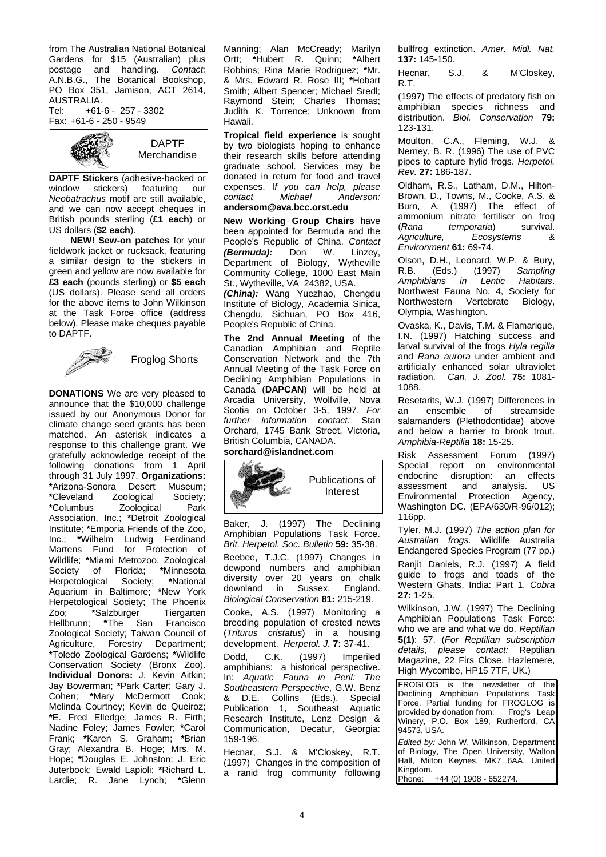from The Australian National Botanical Gardens for \$15 (Australian) plus postage and handling. *Contact:* A.N.B.G., The Botanical Bookshop, PO Box 351, Jamison, ACT 2614, AUSTRALIA.<br>Tel: +61- $+61-6 - 257 - 3302$ 

Fax: +61-6 - 250 - 9549



**DAPTF Stickers** (adhesive-backed or window stickers) featuring our featuring *Neobatrachus* motif are still available, and we can now accept cheques in British pounds sterling (**£1 each**) or US dollars (**\$2 each**).

**NEW! Sew-on patches** for your fieldwork jacket or rucksack, featuring a similar design to the stickers in green and yellow are now available for **£3 each** (pounds sterling) or **\$5 each** (US dollars). Please send all orders for the above items to John Wilkinson at the Task Force office (address below). Please make cheques payable to DAPTF.



**DONATIONS** We are very pleased to announce that the \$10,000 challenge issued by our Anonymous Donor for climate change seed grants has been matched. An asterisk indicates a response to this challenge grant. We gratefully acknowledge receipt of the following donations from 1 April through 31 July 1997. **Organizations: \***Arizona-Sonora Desert Museum;  $Z$ oological **\***Columbus Zoological Park Association, Inc.; **\***Detroit Zoological Institute; **\***Emporia Friends of the Zoo, Inc.; **\***Wilhelm Ludwig Ferdinand Martens Fund for Protection of Wildlife; **\***Miami Metrozoo, Zoological of Florida; *\*Minnesota*<br>iorical Society: *\*National* **Herpetological Society;** Aquarium in Baltimore; **\***New York Herpetological Society; The Phoenix<br>Zoo: \*Salzburger Tiergarten \*<br>Salzburger Hellbrunn; **\***The San Francisco Zoological Society; Taiwan Council of Agriculture, Forestry Department; **\***Toledo Zoological Gardens; **\***Wildlife Conservation Society (Bronx Zoo). **Individual Donors:** J. Kevin Aitkin; Jay Bowerman; **\***Park Carter; Gary J. Cohen; **\***Mary McDermott Cook; Melinda Courtney; Kevin de Queiroz; **\***E. Fred Elledge; James R. Firth; Nadine Foley; James Fowler; **\***Carol Frank; **\***Karen S. Graham; **\***Brian Gray; Alexandra B. Hoge; Mrs. M. Hope; **\***Douglas E. Johnston; J. Eric Juterbock; Ewald Lapioli; **\***Richard L. Lardie; R. Jane Lynch; **\***Glenn

Manning; Alan McCready; Marilyn Ortt; **\***Hubert R. Quinn; **\***Albert Robbins; Rina Marie Rodriguez; **\***Mr. & Mrs. Edward R. Rose III; **\***Hobart Smith; Albert Spencer; Michael Sredl; Raymond Stein; Charles Thomas: Judith K. Torrence; Unknown from Hawaii.

**Tropical field experience** is sought by two biologists hoping to enhance their research skills before attending graduate school. Services may be donated in return for food and travel expenses. I*f you can help, please contact Michael Anderson:*  **andersom@ava.bcc.orst.edu**

**New Working Group Chairs** have been appointed for Bermuda and the People's Republic of China. *Contact (Bermuda):* Don W. Linzey, Department of Biology, Wytheville Community College, 1000 East Main St., Wytheville, VA 24382, USA.

*(China):* Wang Yuezhao, Chengdu Institute of Biology, Academia Sinica, Chengdu, Sichuan, PO Box 416, People's Republic of China.

**The 2nd Annual Meeting** of the Canadian Amphibian and Reptile Conservation Network and the 7th Annual Meeting of the Task Force on Declining Amphibian Populations in Canada (**DAPCAN**) will be held at Arcadia University, Wolfville, Nova Scotia on October 3-5, 1997. *For further information contact:* Stan Orchard, 1745 Bank Street, Victoria, British Columbia, CANADA.

## **sorchard@islandnet.com**



Baker, J. (1997) The Declining Amphibian Populations Task Force. *Brit. Herpetol. Soc. Bulletin* **59:** 35-38.

Beebee, T.J.C. (1997) Changes in dewpond numbers and amphibian diversity over 20 years on chalk<br>downland in Sussex, England. downland in *Biological Conservation* **81:** 215-219.

Cooke, A.S. (1997) Monitoring a breeding population of crested newts (*Triturus cristatus*) in a housing development. *Herpetol. J.* **7:** 37-41.

Dodd, C.K. (1997) Imperiled amphibians: a historical perspective. In: *Aquatic Fauna in Peril: The Southeastern Perspective*, G.W. Benz & D.E. Collins (Eds.), Special Publication 1, Southeast Aquatic Research Institute, Lenz Design & Communication, Decatur, Georgia: 159-196.

Hecnar, S.J. & M'Closkey, R.T. (1997) Changes in the composition of a ranid frog community following bullfrog extinction. *Amer. Midl. Nat.* **137:** 145-150.

Hecnar, S.J. & M'Closkey, R.T.

(1997) The effects of predatory fish on amphibian species richness and distribution. *Biol. Conservation* **79:**  123-131.

Moulton, C.A., Fleming, W.J. & Nerney, B. R. (1996) The use of PVC pipes to capture hylid frogs. *Herpetol. Rev.* **27:** 186-187.

Oldham, R.S., Latham, D.M., Hilton-Brown, D., Towns, M., Cooke, A.S. & Burn, A. (1997) The effect of ammonium nitrate fertiliser on frog<br>(Rana temporaria) survival. (*Rana temporaria*) survival.  $E$ *cosystems Environment* **61:** 69-74.

Olson, D.H., Leonard, W.P. & Bury,<br>R.B. (Eds.) (1997) Sampling R.B. (Eds.) (1997) *Sampling Amphibians in Lentic* Northwest Fauna No. 4, Society for<br>Northwestern Vertebrate Biology, Northwestern Vertebrate Olympia, Washington.

Ovaska, K., Davis, T.M. & Flamarique, I.N. (1997) Hatching success and larval survival of the frogs *Hyla regilla* and *Rana aurora* under ambient and artificially enhanced solar ultraviolet radiation. *Can. J. Zool.* **75:** 1081- 1088.

Resetarits, W.J. (1997) Differences in<br>an ensemble of streamside streamside salamanders (Plethodontidae) above and below a barrier to brook trout. *Amphibia-Reptilia* **18:** 15-25.

Risk Assessment Forum (1997) Special report on environmental endocrine disruption: an effects<br>assessment and analysis. US assessment Environmental Protection Agency, Washington DC. (EPA/630/R-96/012); 116pp.

Tyler, M.J. (1997) *The action plan for Australian frogs.* Wildlife Australia Endangered Species Program (77 pp.)

Ranjit Daniels, R.J. (1997) A field guide to frogs and toads of the Western Ghats, India: Part 1. *Cobra* **27:** 1-25.

Wilkinson, J.W. (1997) The Declining Amphibian Populations Task Force: who we are and what we do. *Reptilian* **5(1)**: 57. (*For Reptilian subscription details, please contact:* Reptilian Magazine, 22 Firs Close, Hazlemere, High Wycombe, HP15 7TF, UK.)

FROGLOG is the newsletter of the Declining Amphibian Populations Task Force. Partial funding for FROGLOG is<br>provided by donation from: Frog's Leap provided by donation from: Winery, P.O. Box 189, Rutherford, CA 94573, USA.

*Edited by:* John W. Wilkinson, Department of Biology, The Open University, Walton Hall, Milton Keynes, MK7 6AA, United Kingdom.<br>Phone: +44 (0) 1908 - 652274.